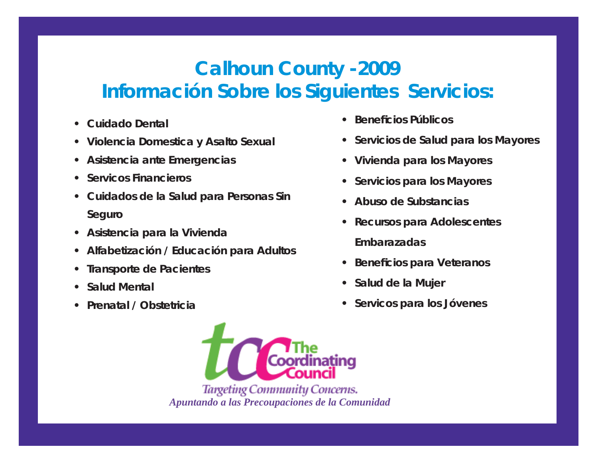# **Calhoun County -2009 Información Sobre los Siguientes Servicios:**

- **Cuidado Dental**
- **Violencia Domestica y Asalto Sexual**
- **Asistencia ante Emergencias**
- **Servicos Financieros**
- **Cuidados de la Salud para Personas Sin Seguro**
- **Asistencia para la Vivienda**
- **Alfabetización / Educación para Adultos**
- **Transporte de Pacientes**
- **Salud Mental**
- **Prenatal / Obstetricia**
- **Benefi cios Públicos**
- **Servicios de Salud para los Mayores**
- **Vivienda para los Mayores**
- **Servicios para los Mayores**
- **Abuso de Substancias**
- **Recursos para Adolescentes Embarazadas**
- **Bene fi cios para Veteranos**
- **Salud de la Mujer**
- **Servicos para los Jóvenes**

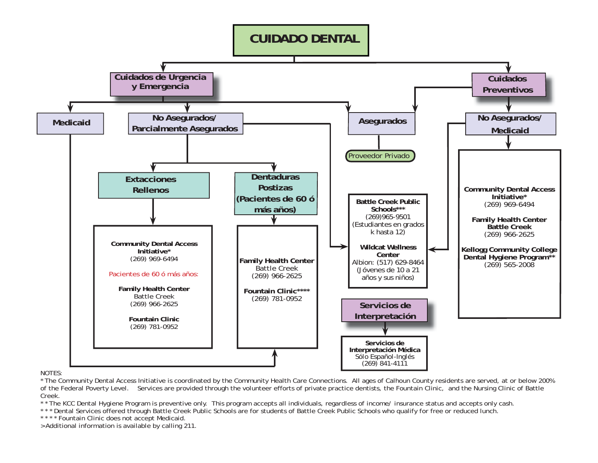#### **No Asegurados/ Medicaid**Medicaid **No Asegurados/ Parcialmente Asegurados Cuidados de Urgencia y Emergencia Cuidados PreventivosExtacciones RellenosDentaduras Postizas(Pacientes de 60 ó más años)** Proveedor Privado **CUIDADO DENTAL Servicios de Interpretación Family Health Center** Battle Creek (269) 966-2625 **Fountain Clinic\*\*\*\***(269) 781-0952 **Community Dental Access Initiative\*** (269) 969-6494 Pacientes de 60 ó más años:**Family Health Center** Battle Creek(269) 966-2625 **Fountain Clinic**(269) 781-0952 **Community Dental Access Initiative\*** (269) 969-6494 **Family Health Center Battle Creek**(269) 966-2625 **Kellogg Community College Dental Hygiene Program\*\*** (269) 565-2008 **Battle Creek Public Schools\*\*\*** (269)965-9501 (Estudiantes en grados k hasta 12) **Wildcat Wellness Center** Albion: (517) 629-8464 (Jóvenes de 10 a 21 años y sus niños) **Servicios de**

#### NOTES:

\* The Community Dental Access Initiative is coordinated by the Community Health Care Connections. All ages of Calhoun County residents are served, at or below 200% of the Federal Poverty Level. Services are provided through the volunteer efforts of private practice dentists, the Fountain Clinic, and the Nursing Clinic of Battle Creek.

Interpretación Médica **Interpretación Médica** *Sólo Español-Inglés* (269) 841-4111

\* \* The KCC Dental Hygiene Program is preventive only. This program accepts all individuals, regardless of income/ insurance status and accepts only cash.

\* \* \* Dental Services offered through Battle Creek Public Schools are for students of Battle Creek Public Schools who qualify for free or reduced lunch.

\* \* \* \* Fountain Clinic does not accept Medicaid.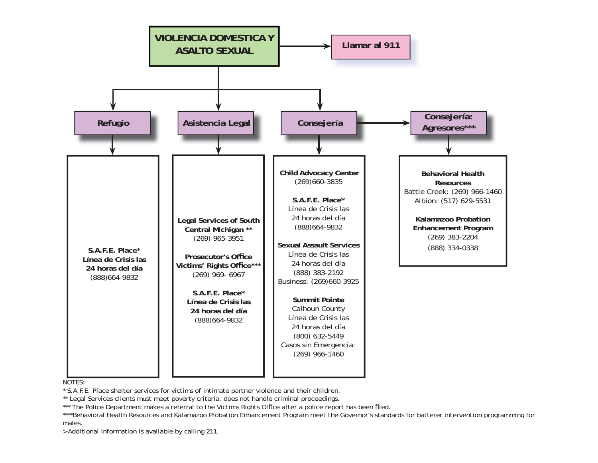



\* S.A.F.E. Place shelter services for victims of intimate partner violence and their children.

\*\* Legal Services clients must meet poverty criteria, does not handle criminal proceedings.

\*\*\* The Police Department makes a referral to the Victims Rights Office after a police report has been filed.

\*\*\*\*Behavioral Health Resources and Kalamazoo Probation Enhancement Program meet the Governor's standards for batterer intervention programming for males.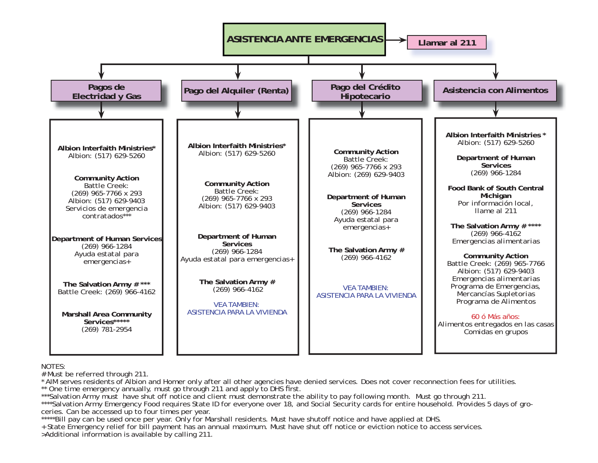

# Must be referred through 211.

\* AIM serves residents of Albion and Homer only after all other agencies have denied services. Does not cover reconnection fees for utilities.

\*\* One time emergency annually, must go through 211 and apply to DHS first.

\*\*\*Salvation Army must have shut off notice and client must demonstrate the ability to pay following month. Must go through 211.

\*\*\*\*Salvation Army Emergency Food requires State ID for everyone over 18, and Social Security cards for entire household. Provides 5 days of groceries. Can be accessed up to four times per year.

\*\*\*\*\*Bill pay can be used once per year. Only for Marshall residents. Must have shutoff notice and have applied at DHS.

+ State Emergency relief for bill payment has an annual maximum. Must have shut off notice or eviction notice to access services. >Additional information is available by calling 211.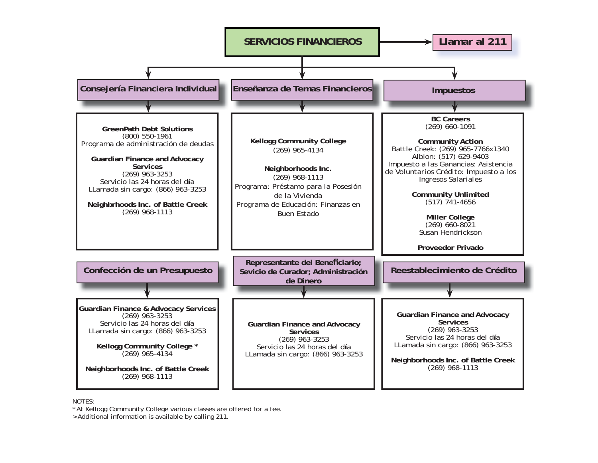

\* At Kellogg Community College various classes are offered for a fee.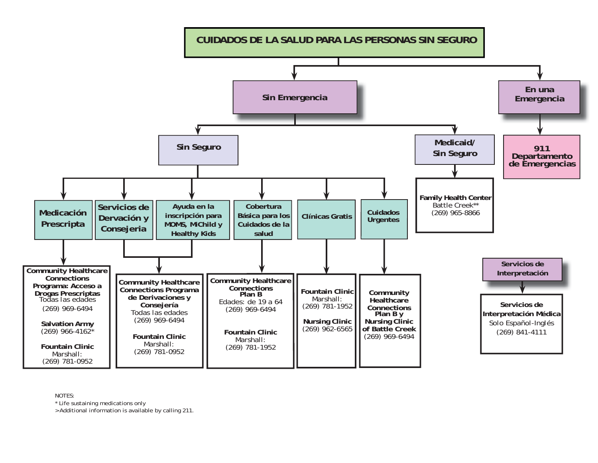

\* Life sustaining medications only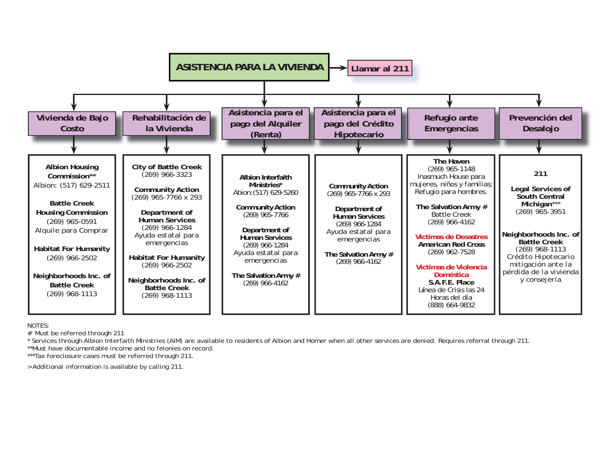

# Must be referred through 211

\* Services through Albion Interfaith Ministries (AIM) are available to residents of Albion and Homer when all other services are denied. Requires referral through 211.

\*\*Must have documentable income and no felonies on record.

\*\*\*Tax foreclosure cases must be referred through 211.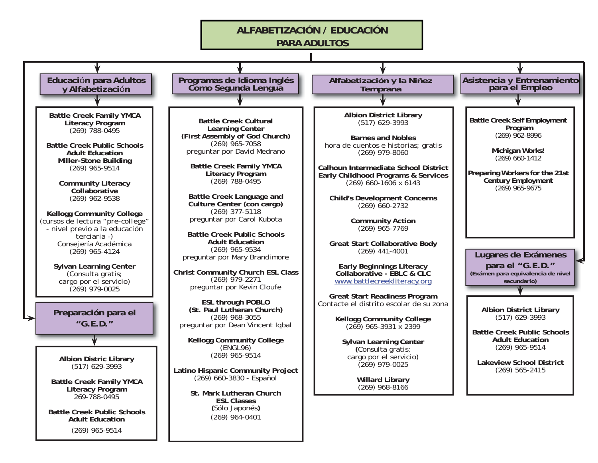## **ALFABETIZACIÓN / EDUCACIÓN**

**PARA ADULTOS**

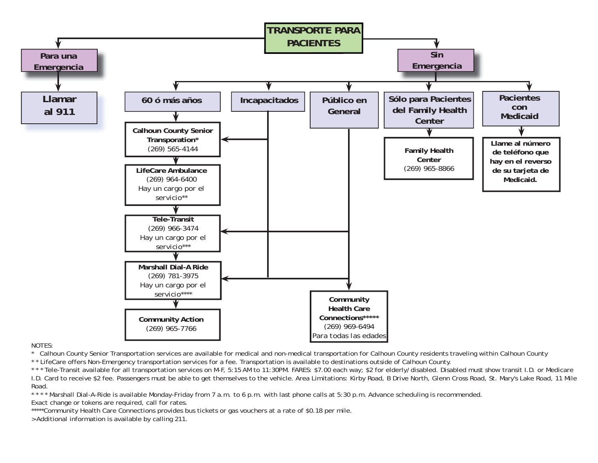

\* Calhoun County Senior Transportation services are available for medical and non-medical transportation for Calhoun County residents traveling within Calhoun County

\* \* LifeCare offers Non-Emergency transportation services for a fee. Transportation is available to destinations outside of Calhoun County.

\* \* \* Tele-Transit available for all transportation services on M-F, 5:15 AM to 11:30PM. FARES: \$7.00 each way; \$2 for elderly/disabled. Disabled must show transit I.D. or Medicare I.D. Card to receive \$2 fee. Passengers must be able to get themselves to the vehicle. Area Limitations: Kirby Road, B Drive North, Glenn Cross Road, St. Mary's Lake Road, 11 Mile Road.

\* \* \* \* Marshall Dial-A-Ride is available Monday-Friday from 7 a.m. to 6 p.m. with last phone calls at 5:30 p.m. Advance scheduling is recommended.

Exact change or tokens are required, call for rates.

\*\*\*\*\*Community Health Care Connections provides bus tickets or gas vouchers at a rate of \$0.18 per mile.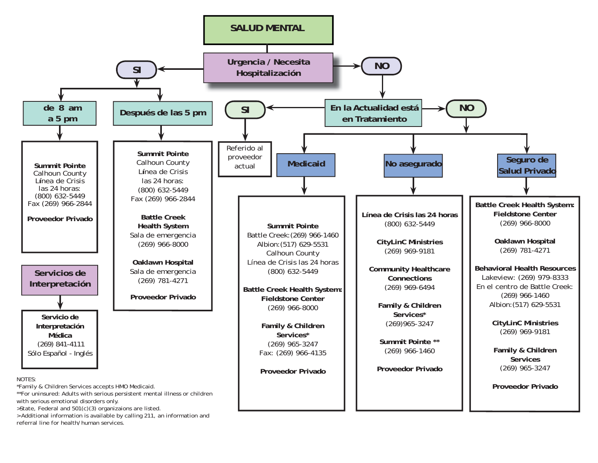

> Additional information is available by calling 211, an information and referral line for health/human services.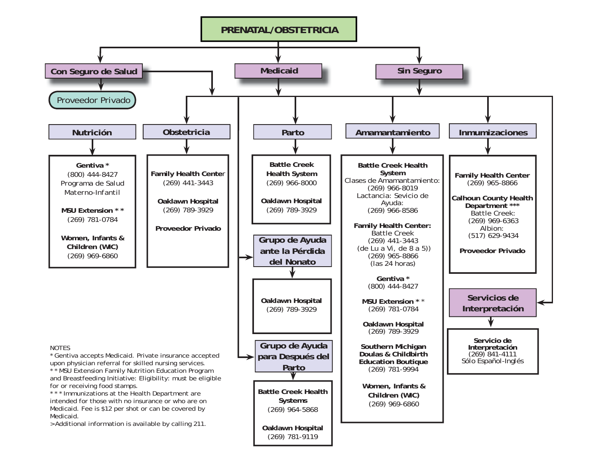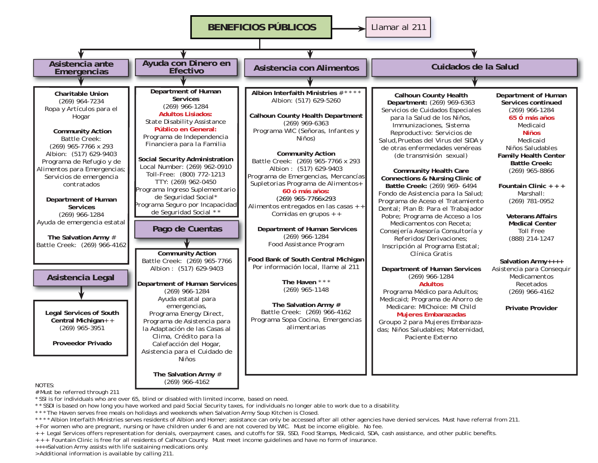

\* SSI is for individuals who are over 65, blind or disabled with limited income, based on need.

\* \* SSDI is based on how long you have worked and paid Social Security taxes, for individuals no longer able to work due to a disability.

\* \* \* The Haven serves free meals on holidays and weekends when Salvation Army Soup Kitchen is Closed.

\* \* \* Albion Interfaith Ministries serves residents of Albion and Homer; assistance can only be accessed after all other agencies have denied services. Must have referral from 211. + For women who are pregnant, nursing or have children under 6 and are not covered by WIC. Must be income eligible. No fee.

 $+$  Legal Services offers representation for denials, overpayment cases, and cutoffs for SSI, SSD, Food Stamps, Medicaid, SDA, cash assistance, and other public benefits.

+ + + Fountain Clinic is free for all residents of Calhoun County. Must meet income guidelines and have no form of insurance.

++++Salvation Army assists with life sustaining medications only.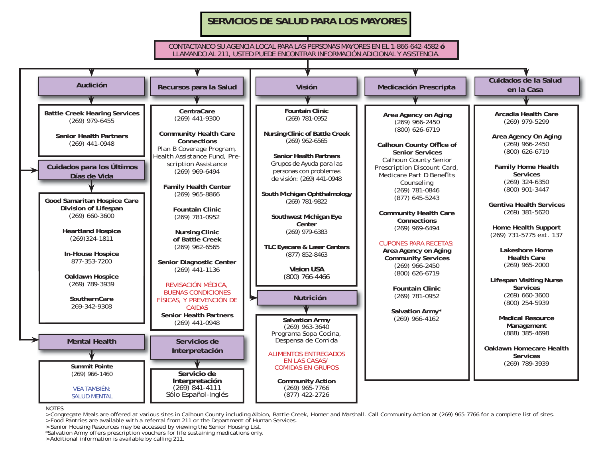### **SERVICIOS DE SALUD PARA LOS MAYORES**

#### CONTACTANDO SU AGENCIA LOCAL PARA LAS PERSONAS MAYORES EN EL 1-866-642-4582 **ó**LLAMANDO AL 211, USTED PUEDE ENCONTRAR INFORMACIÓN ADICIONAL Y ASISTENCIA.



NOTES

<sup>&</sup>gt; Congregate Meals are offered at various sites in Calhoun County including Albion, Battle Creek, Homer and Marshall. Call Community Action at (269) 965-7766 for a complete list of sites<br>> Food Pantries are available with

<sup>&</sup>gt; Senior Housing Resources may be accessed by viewing the Senior Housing List. \*Salvation Army offers prescription vouchers for life sustaining medications only.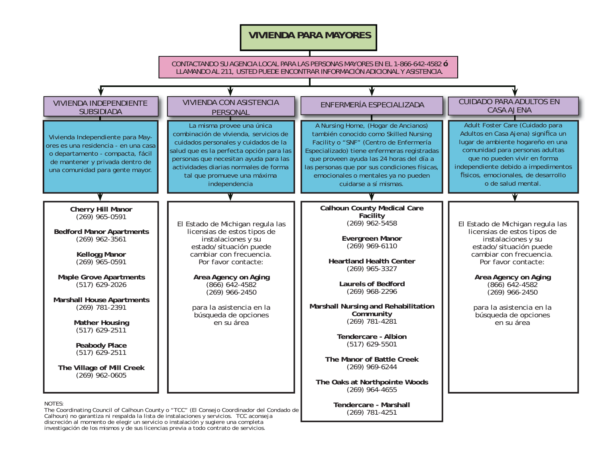### **VIVIENDA PARA MAYORES**

CONTACTANDO SU AGENCIA LOCAL PARA LAS PERSONAS MAYORES EN EL 1-866-642-4582 **ó**LLAMANDO AL 211, USTED PUEDE ENCONTRAR INFORMACIÓN ADICIONAL Y ASISTENCIA.



Calhoun) no garantiza ni respalda la lista de instalaciones y servicios. TCC aconseja discreción al momento de elegir un servicio o instalación y sugiere una completa investigación de los mismos y de sus licencias previa a todo contrato de servicios.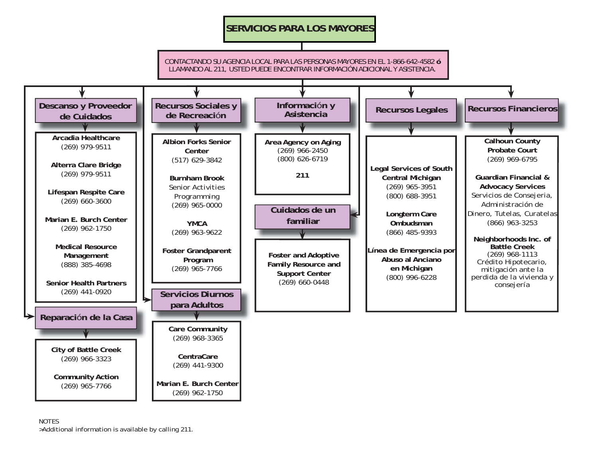## **SERVICIOS PARA LOS MAYORES**

ADDITIONAL INFORMATION AND ASSISTANCE CAN BE FOUND BY CALLING 211 CONTACTANDO SU AGENCIA LOCAL PARA LAS PERSONAS MAYORES EN EL 1-866-642-4582 **ó**LLAMANDO AL 211, USTED PUEDE ENCONTRAR INFORMACIÓN ADICIONAL Y ASISTENCIA.

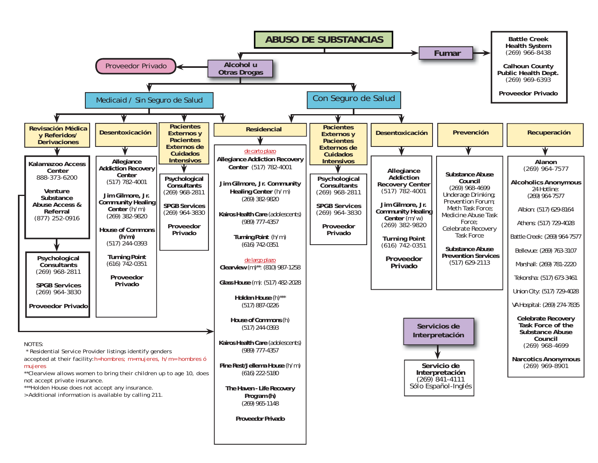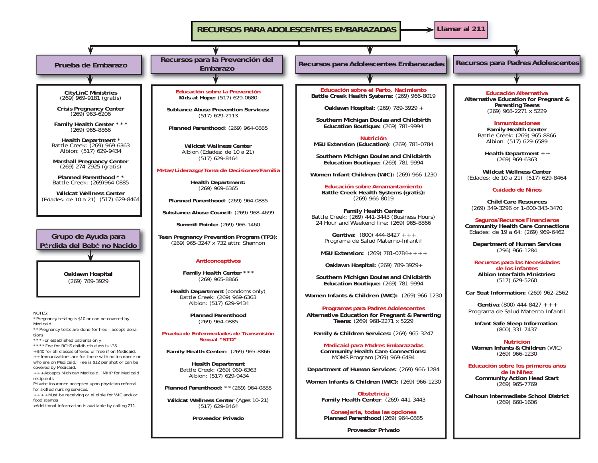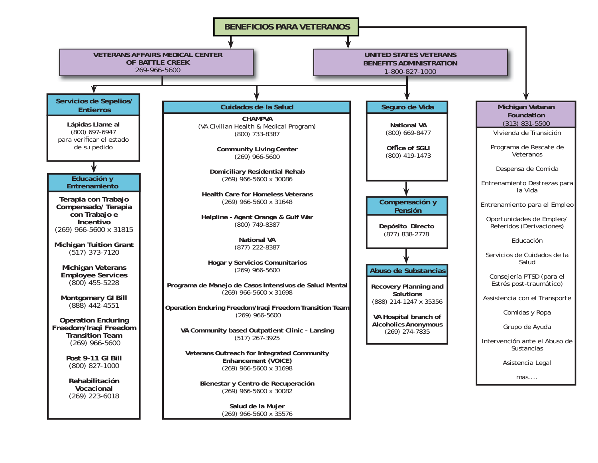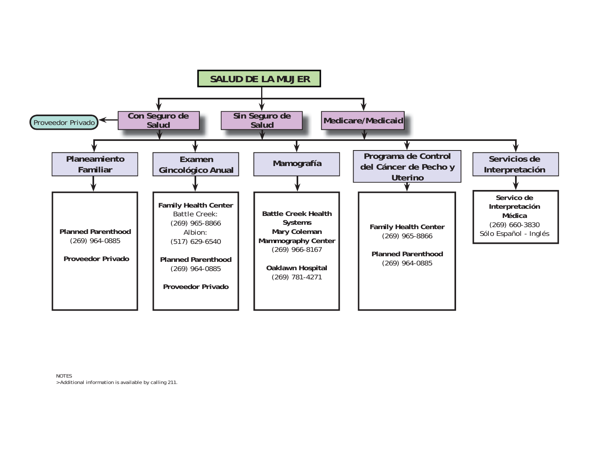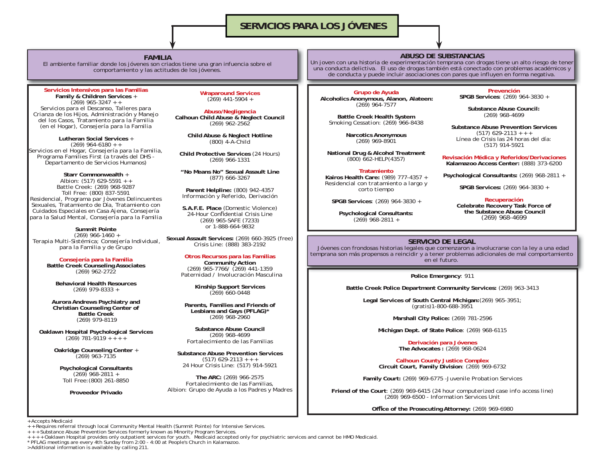### **SERVICIOS PARA LOS JÓVENES**

#### **FAMILIA**

 El ambiente familiar donde los jóvenes son criados tiene una gran infuencia sobre el comportamiento y las actitudes de los jóvenes.

**Servicios Intensivos para las Familias Family & Children Services** <sup>+</sup> (269) 965-3247 + + *Servicios para el Descanso, Talleres para Crianza de los Hijos, Administraci*ó*n y Manejo del los Casos, Tratamiento para la Familia (en el Hogar), Consejería para la Familia*

**Lutheran Social Services** <sup>+</sup> $(269)$  964-6180 + + *Servicios en el Hogar, Consejería para la Familia, Programa Families First (a través del DHS - Departamento de Servicios Humanos)*

**Starr Commonwealth** <sup>+</sup> Albion: (517) 629-5591 + + Battle Creek: (269) 968-9287 Toll Free: (800) 837-5591 *Residencial, Programa par Jòvenes Delincuentes Sexuales, Tratamiento de Día, Tratamiento con Cuidados Especiales en Casa Ajena, Consejería para la Salud Mental, Consejería para la Familia*

**Summit Pointe** (269) 966-1460 + *Terapia Multi-Sistémica; Consejería Individual, para la Familia y de Grupo*

**Consejería para la Familia Battle Creek Counseling Associates**  (269) 962-2722

**Behavioral Health Resources**(269) 979-8333 +

**Aurora Andrews Psychiatry and Christian Counseling Center of Battle Creek**(269) 979-8119

**Oaklawn Hospital Psychological Services**   $(269)$  781-9119 + + + +

> **Oakridge Counseling Center** <sup>+</sup> (269) 963-7135

**Psychological Consultants**  $(269)$  968-2811 + Toll Free:(800) 261-8850

**Proveedor Privado**

**Wraparound Services**   $(269)$  441-5904 +

**Abuso/Negligencia Calhoun Child Abuse & Neglect Council**  (269) 962-2562

> **Child Abuse & Neglect Hotline**  (800) 4-A-Child

**Child Protective Services** (24 Hours) (269) 966-1331

**"No Means No" Sexual Assault Line**  (877) 666-3267

**Parent Helpline:** (800) 942-4357 *Informaciòn y Referido, Derivación*

**S.A.F.E. Place** (Domestic Violence) 24-Hour Confidential Crisis Line (269) 965-SAFE (7233) or 1-888-664-9832

**Sexual Assault Services:** (269) 660-3925 (free) Crisis Line: (888) 383-2192

#### **Otros Recursos para las Familias**

**Community Action** (269) 965-7766/ (269) 441-1359 *Paternidad / Involucración Masculina*

> **Kinship Support Services**  $(269)$  660-0448

**Parents, Families and Friends of Lesbians and Gays (PFLAG)\*** (269) 968-2960

**Substance Abuse Council**(269) 968-4699 *Fortalecimiento de las Familias*

**Substance Abuse Prevention Services** $(517)$  629-2113 + + + 24 Hour Crisis Line: (517) 914-5921

**The ARC:** (269) 966-2575 *Fortalecimiento de las Familias, Albion: Grupo de Ayuda a los Padres y Madres*

#### **ABUSO DE SUBSTANCIAS**

 Un joven con una historia de experimentación temprana con drogas tiene un alto riesgo de tener una conducta delictiva. El uso de drogas también está conectado con problemas académicos y de conducta y puede incluir asociaciones con pares que influyen en forma negativa.

**Grupo de Ayuda Alcoholics Anonymous, Alanon, Alateen:** (269) 964-7577

**Battle Creek Health System**  *Smoking Cessation:* (269) 966-8438

> **Narcotics Anonymous** (269) 969-8901

**National Drug & Alcohol Treatment** (800) 662-HELP(4357)

#### **Tratamiento**

 **Kairos Health Care:** (989) 777-4357 + *Residencial con tratamiento a largo y corto tiempo*

**SPGB Services**: (269) 964-3830 +

**Psychological Consultants:**   $(269)$  968-2811 +

**PrevenciónSPGB Services**: (269) 964-3830 +

> **Substance Abuse Council:** (269) 968-4699

**Substance Abuse Prevention Services**  $(517)$  629-2113 + + + Línea de Crísis las 24 horas del día: (517) 914-5921

**Revisación Médica y Referidos/Derivaciones Kalamazoo Access Center:** (888) 373-6200

**Psychological Consultants:** (269) 968-2811 +

**SPGB Services:** (269) 964-3830 +

**Recuperación Celebrate Recovery Task Force of the Substance Abuse Council**(269) 968-4699

#### **SERVICIO DE LEGAL**

 Jóvenes con frondosas historias legales que comenzaron a involucrarse con la ley a una edad temprana son más propensos a reincidir y a tener problemas adicionales de mal comportamiento en el futuro.

**Police Emergency**: 911

**Battle Creek Police Department Community Services:** (269) 963-3413

**Legal Services of South Central Michigan:**(269) 965-3951; (gratis)1-800-688-3951

**Marshall City Police:** (269) 781-2596

**Michigan Dept. of State Police**: (269) 968-6115

**Derivación para Jóvenes The Advocates :** (269) 968-0624

**Calhoun County Justice Complex Circuit Court, Family Division**: (269) 969-6732

**Family Court:** (269) 969-6775 -*Juvenile Probation Services*

**Friend of the Court**: (269) 969-6415 *(24 hour computerized case info access line)* (269) 969-6500 - *Information Services Unit*

Office of the Prosecuting Attorney: (269) 969-6980

+ Accepts Medicaid

+ + Requires referral through local Community Mental Health (Summit Pointe) for Intensive Services.

+ + + Substance Abuse Prevention Services formerly known as Minority Program Services.

+ + + + Oaklawn Hospital provides only outpatient services for youth. Medicaid accepted only for psychiatric services and cannot be HMO Medicaid<br>\* PFLAG meetings are every 4th Sunday from 2:00 - 4:00 at People's Church in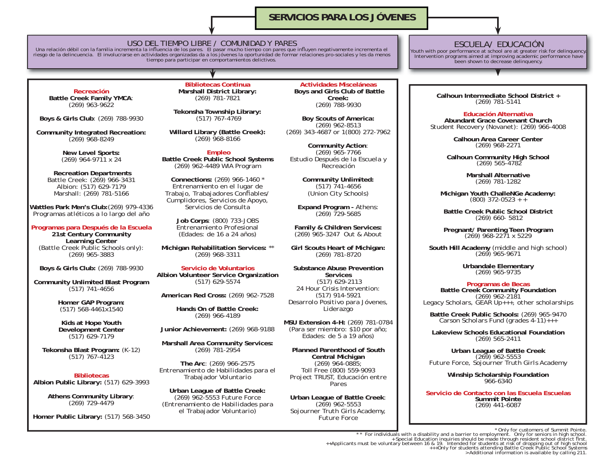### **SERVICIOS PARA LOS JÓVENES**

USO DEL TIEMPO LIBRE / COMUNIDAD Y PARES<br>Una relación débil con la familia incrementa la influencia de los pares. El pasar mucho tiempo con pares que influyen negativamente incrementa el riesgo de la delincuencia. El involucrarse en actividades organizadas da a los jóvenes la oportunidad de formar relaciones pro-sociales y les da menos tiempo para participar en comportamientos delictivos.

**Recreación Battle Creek Family YMCA**:  $(269)$  963-9622

**Boys & Girls Club**: (269) 788-9930

**Community Integrated Recreation:** (269) 968-8249

> **New Level Sports:** (269) 964-9711 x 24

**Recreation Departments** Battle Creek: (269) 966-3431 Albion: (517) 629-7179 Marshall: (269) 781-5166

**Wattles Park Men's Club:**(269) 979-4336 *Programas atléticos a lo largo del año*

**Programas para Después de la Escuela**

**21st Century Community Learning Center** (Battle Creek Public Schools only): (269) 965-3883

**Boys & Girls Club:** (269) 788-9930

**Community Unlimited Blast Program**  (517) 741-4656

> **Homer GAP Program:**  (517) 568-4461x1540

> **Kids at Hope Youth Development Center** (517) 629-7179

**Tekonsha Blast Program:** (K-12) (517) 767-4123

**BibliotecasAlbion Public Library:** (517) 629-3993

> **Athens Community Library**: (269) 729-4479

**Homer Public Library:** (517) 568-3450

**Bibliotecas Continua Marshall District Library:** (269) 781-7821

**Tekonsha Township Library:** (517) 767-4769

**Willard Library (Battle Creek):** (269) 968-8166

**Empleo Battle Creek Public School Systems** (269) 962-4489 *WIA Program*

**Connections:** (269) 966-1460 \* *Entrenamiento en el lugar de Trabajo, Trabajadores Confi ables/ Cumplidores, Servicios de Apoyo, Servicios de Consulta*

**Job Corps**: (800) 733-JOBS *Entrenamiento Profesional (Edades: de 16 a 24 años)*

**Michigan Rehabilitation Services:** \*\* (269) 968-3311

**Servicio de Voluntarios Albion Volunteer Service Organization** (517) 629-5574

**American Red Cross:** (269) 962-7528

**Hands On of Battle Creek:** (269) 966-4189

**Junior Achievement:** (269) 968-9188

**Marshall Area Community Services:**  (269) 781-2954

**The Arc**: (269) 966-2575 *Entrenamiento de Habilidades para el Trabajador Voluntario*

**Urban League of Battle Creek:** (269) 962-5553 *Future Force (Entrenamiento de Habilidades para el Trabajador Voluntario)*

**Actividades Misceláneas Boys and Girls Club of Battle Creek:**(269) 788-9930

**Boy Scouts of America:**  (269) 962-8513 (269) 343-4687 or 1(800) 272-7962

**Community Action**: (269) 965-7766 *Estudio Después de la Escuela y Recreación*

> **Community Unlimited:** (517) 741-4656 (Union City Schools)

**Expand Program -** Athens: (269) 729-5685

**Family & Children Services:** (269) 965-3247 *Out & About*

**Girl Scouts Heart of Michigan:** (269) 781-8720

**Substance Abuse Prevention Services** (517) 629-2113 24 Hour Crisis Intervention: (517) 914-5921 *Desarrolo Positivo para Jóvenes, Liderazgo*

**MSU Extension 4-H:** (269) 781-0784 (Para ser miembro: \$10 por año; Edades: de 5 a 19 años)

**Planned Parenthood of South Central Michigan** (269) 964-0885; Toll Free (800) 559-9093 *Project TRUST, Educación entre Pares*

**Urban League of Battle Creek**: (269) 962-5553 *Sojourner Truth Girls Academy, Future Force*

### ESCUELA/ EDUCACIÓN

Youth with poor performance at school are at greater risk for delinquency. Intervention programs aimed at improving academic performance have been shown to decrease delinquency.

**Calhoun Intermediate School District +** (269) 781-5141

#### **Educación Alternativa**

 **Abundant Grace Covenant Church***Student Recovery (Novanet)*: (269) 966-4008

> **Calhoun Area Career Center**(269) 968-2271

**Calhoun Community High School** (269) 565-4782

**Marshall Alternative**(269) 781-1282

**Michigan Youth ChalleNGe Academy:** (800) 372-0523 + +

**Battle Creek Public School District**(269) 660- 5812

**Pregnant/ Parenting Teen Program** (269) 968-2271 x 5229

**South Hill Academy** (middle and high school) (269) 965-9671

**Urbandale Elementary** (269) 965-9735

**Programas de Becas<br>
Battle Creek Community Foundation**<br> *Legacy Scholars, GEAR Up+++, other scholarships* 

**Battle Creek Public Schools:** (269) 965-9470 *Carson Scholars Fund (grades 4-11)+++*

**Lakeview Schools Educational Foundation**(269) 565-2411

**Urban League of Battle Creek** (269) 962-5553 *Future Force, Sojourner Truth Girls Academy*

**Winship Scholarship Foundation** 966-6340

**Servicio de Contacto con las Escuela EscuelasSummit Pointe**(269) 441-6087

The formulation in a disability and a barrier to employment. Only for customers of Summit Pointe.<br>For individuals with a disability and a barrier to employment. Only for seniors in high school.<br>++Applicants must be volunta